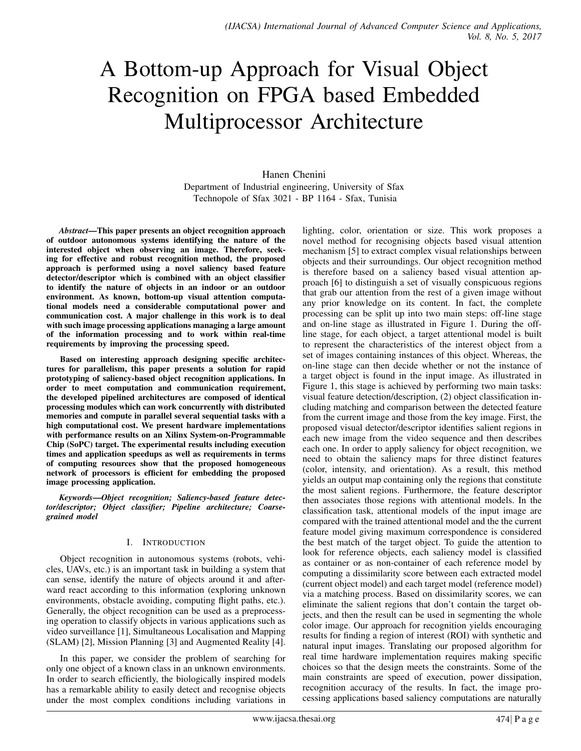# A Bottom-up Approach for Visual Object Recognition on FPGA based Embedded Multiprocessor Architecture

Hanen Chenini Department of Industrial engineering, University of Sfax Technopole of Sfax 3021 - BP 1164 - Sfax, Tunisia

*Abstract*—This paper presents an object recognition approach of outdoor autonomous systems identifying the nature of the interested object when observing an image. Therefore, seeking for effective and robust recognition method, the proposed approach is performed using a novel saliency based feature detector/descriptor which is combined with an object classifier to identify the nature of objects in an indoor or an outdoor environment. As known, bottom-up visual attention computational models need a considerable computational power and communication cost. A major challenge in this work is to deal with such image processing applications managing a large amount of the information processing and to work within real-time requirements by improving the processing speed.

Based on interesting approach designing specific architectures for parallelism, this paper presents a solution for rapid prototyping of saliency-based object recognition applications. In order to meet computation and communication requirement, the developed pipelined architectures are composed of identical processing modules which can work concurrently with distributed memories and compute in parallel several sequential tasks with a high computational cost. We present hardware implementations with performance results on an Xilinx System-on-Programmable Chip (SoPC) target. The experimental results including execution times and application speedups as well as requirements in terms of computing resources show that the proposed homogeneous network of processors is efficient for embedding the proposed image processing application.

*Keywords*—*Object recognition; Saliency-based feature detector/descriptor; Object classifier; Pipeline architecture; Coarsegrained model*

# I. INTRODUCTION

Object recognition in autonomous systems (robots, vehicles, UAVs, etc.) is an important task in building a system that can sense, identify the nature of objects around it and afterward react according to this information (exploring unknown environments, obstacle avoiding, computing flight paths, etc.). Generally, the object recognition can be used as a preprocessing operation to classify objects in various applications such as video surveillance [1], Simultaneous Localisation and Mapping (SLAM) [2], Mission Planning [3] and Augmented Reality [4].

In this paper, we consider the problem of searching for only one object of a known class in an unknown environments. In order to search efficiently, the biologically inspired models has a remarkable ability to easily detect and recognise objects under the most complex conditions including variations in lighting, color, orientation or size. This work proposes a novel method for recognising objects based visual attention mechanism [5] to extract complex visual relationships between objects and their surroundings. Our object recognition method is therefore based on a saliency based visual attention approach [6] to distinguish a set of visually conspicuous regions that grab our attention from the rest of a given image without any prior knowledge on its content. In fact, the complete processing can be split up into two main steps: off-line stage and on-line stage as illustrated in Figure 1. During the offline stage, for each object, a target attentional model is built to represent the characteristics of the interest object from a set of images containing instances of this object. Whereas, the on-line stage can then decide whether or not the instance of a target object is found in the input image. As illustrated in Figure 1, this stage is achieved by performing two main tasks: visual feature detection/description, (2) object classification including matching and comparison between the detected feature from the current image and those from the key image. First, the proposed visual detector/descriptor identifies salient regions in each new image from the video sequence and then describes each one. In order to apply saliency for object recognition, we need to obtain the saliency maps for three distinct features (color, intensity, and orientation). As a result, this method yields an output map containing only the regions that constitute the most salient regions. Furthermore, the feature descriptor then associates those regions with attentional models. In the classification task, attentional models of the input image are compared with the trained attentional model and the the current feature model giving maximum correspondence is considered the best match of the target object. To guide the attention to look for reference objects, each saliency model is classified as container or as non-container of each reference model by computing a dissimilarity score between each extracted model (current object model) and each target model (reference model) via a matching process. Based on dissimilarity scores, we can eliminate the salient regions that don't contain the target objects, and then the result can be used in segmenting the whole color image. Our approach for recognition yields encouraging results for finding a region of interest (ROI) with synthetic and natural input images. Translating our proposed algorithm for real time hardware implementation requires making specific choices so that the design meets the constraints. Some of the main constraints are speed of execution, power dissipation, recognition accuracy of the results. In fact, the image processing applications based saliency computations are naturally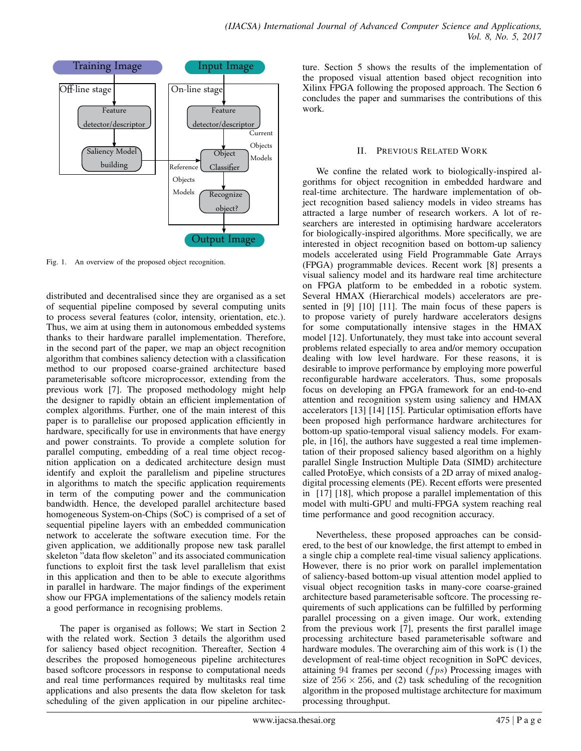

Fig. 1. An overview of the proposed object recognition.

distributed and decentralised since they are organised as a set of sequential pipeline composed by several computing units to process several features (color, intensity, orientation, etc.). Thus, we aim at using them in autonomous embedded systems thanks to their hardware parallel implementation. Therefore, in the second part of the paper, we map an object recognition algorithm that combines saliency detection with a classification method to our proposed coarse-grained architecture based parameterisable softcore microprocessor, extending from the previous work [7]. The proposed methodology might help the designer to rapidly obtain an efficient implementation of complex algorithms. Further, one of the main interest of this paper is to parallelise our proposed application efficiently in hardware, specifically for use in environments that have energy and power constraints. To provide a complete solution for parallel computing, embedding of a real time object recognition application on a dedicated architecture design must identify and exploit the parallelism and pipeline structures in algorithms to match the specific application requirements in term of the computing power and the communication bandwidth. Hence, the developed parallel architecture based homogeneous System-on-Chips (SoC) is comprised of a set of sequential pipeline layers with an embedded communication network to accelerate the software execution time. For the given application, we additionally propose new task parallel skeleton "data flow skeleton" and its associated communication functions to exploit first the task level parallelism that exist in this application and then to be able to execute algorithms in parallel in hardware. The major findings of the experiment show our FPGA implementations of the saliency models retain a good performance in recognising problems.

The paper is organised as follows; We start in Section 2 with the related work. Section 3 details the algorithm used for saliency based object recognition. Thereafter, Section 4 describes the proposed homogeneous pipeline architectures based softcore processors in response to computational needs and real time performances required by multitasks real time applications and also presents the data flow skeleton for task scheduling of the given application in our pipeline architecture. Section 5 shows the results of the implementation of the proposed visual attention based object recognition into Xilinx FPGA following the proposed approach. The Section 6 concludes the paper and summarises the contributions of this work.

## II. PREVIOUS RELATED WORK

We confine the related work to biologically-inspired algorithms for object recognition in embedded hardware and real-time architecture. The hardware implementation of object recognition based saliency models in video streams has attracted a large number of research workers. A lot of researchers are interested in optimising hardware accelerators for biologically-inspired algorithms. More specifically, we are interested in object recognition based on bottom-up saliency models accelerated using Field Programmable Gate Arrays (FPGA) programmable devices. Recent work [8] presents a visual saliency model and its hardware real time architecture on FPGA platform to be embedded in a robotic system. Several HMAX (Hierarchical models) accelerators are presented in [9] [10] [11]. The main focus of these papers is to propose variety of purely hardware accelerators designs for some computationally intensive stages in the HMAX model [12]. Unfortunately, they must take into account several problems related especially to area and/or memory occupation dealing with low level hardware. For these reasons, it is desirable to improve performance by employing more powerful reconfigurable hardware accelerators. Thus, some proposals focus on developing an FPGA framework for an end-to-end attention and recognition system using saliency and HMAX accelerators [13] [14] [15]. Particular optimisation efforts have been proposed high performance hardware architectures for bottom-up spatio-temporal visual saliency models. For example, in [16], the authors have suggested a real time implementation of their proposed saliency based algorithm on a highly parallel Single Instruction Multiple Data (SIMD) architecture called ProtoEye, which consists of a 2D array of mixed analogdigital processing elements (PE). Recent efforts were presented in [17] [18], which propose a parallel implementation of this model with multi-GPU and multi-FPGA system reaching real time performance and good recognition accuracy.

Nevertheless, these proposed approaches can be considered, to the best of our knowledge, the first attempt to embed in a single chip a complete real-time visual saliency applications. However, there is no prior work on parallel implementation of saliency-based bottom-up visual attention model applied to visual object recognition tasks in many-core coarse-grained architecture based parameterisable softcore. The processing requirements of such applications can be fulfilled by performing parallel processing on a given image. Our work, extending from the previous work [7], presents the first parallel image processing architecture based parameterisable software and hardware modules. The overarching aim of this work is (1) the development of real-time object recognition in SoPC devices, attaining 94 frames per second  $(f \, p \, s)$  Processing images with size of  $256 \times 256$ , and (2) task scheduling of the recognition algorithm in the proposed multistage architecture for maximum processing throughput.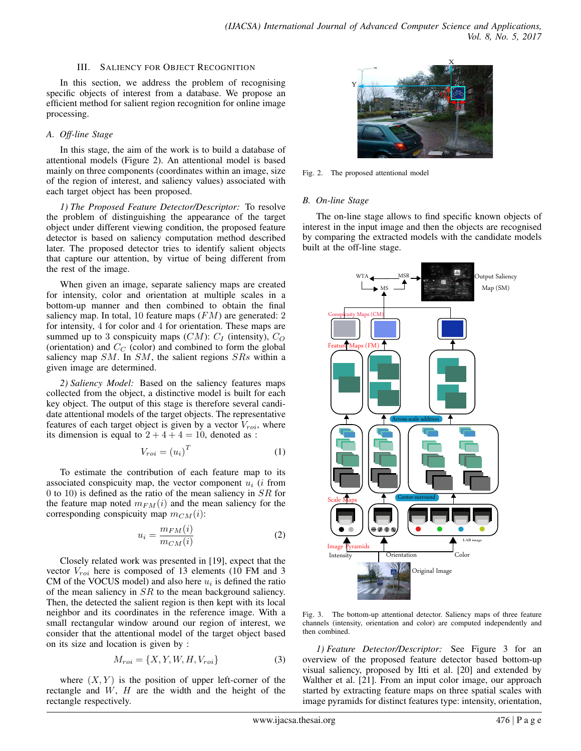#### III. SALIENCY FOR OBJECT RECOGNITION

In this section, we address the problem of recognising specific objects of interest from a database. We propose an efficient method for salient region recognition for online image processing.

## *A. Off-line Stage*

In this stage, the aim of the work is to build a database of attentional models (Figure 2). An attentional model is based mainly on three components (coordinates within an image, size of the region of interest, and saliency values) associated with each target object has been proposed.

*1) The Proposed Feature Detector/Descriptor:* To resolve the problem of distinguishing the appearance of the target object under different viewing condition, the proposed feature detector is based on saliency computation method described later. The proposed detector tries to identify salient objects that capture our attention, by virtue of being different from the rest of the image.

When given an image, separate saliency maps are created for intensity, color and orientation at multiple scales in a bottom-up manner and then combined to obtain the final saliency map. In total, 10 feature maps  $(FM)$  are generated: 2 for intensity, 4 for color and 4 for orientation. These maps are summed up to 3 conspicuity maps  $(CM)$ :  $C_I$  (intensity),  $C_O$ (orientation) and  $C_C$  (color) and combined to form the global saliency map  $SM$ . In  $SM$ , the salient regions  $SRs$  within a given image are determined.

*2) Saliency Model:* Based on the saliency features maps collected from the object, a distinctive model is built for each key object. The output of this stage is therefore several candidate attentional models of the target objects. The representative features of each target object is given by a vector  $V_{roi}$ , where its dimension is equal to  $2 + 4 + 4 = 10$ , denoted as :

$$
V_{roi} = (u_i)^T
$$
 (1)

To estimate the contribution of each feature map to its associated conspicuity map, the vector component  $u_i$  (*i* from 0 to 10) is defined as the ratio of the mean saliency in  $SR$  for the feature map noted  $m_{FM}(i)$  and the mean saliency for the corresponding conspicuity map  $m_{CM}(i)$ :

$$
u_i = \frac{m_{FM}(i)}{m_{CM}(i)}\tag{2}
$$

Closely related work was presented in [19], expect that the vector  $V_{roi}$  here is composed of 13 elements (10 FM and 3 CM of the VOCUS model) and also here  $u_i$  is defined the ratio of the mean saliency in SR to the mean background saliency. Then, the detected the salient region is then kept with its local neighbor and its coordinates in the reference image. With a small rectangular window around our region of interest, we consider that the attentional model of the target object based on its size and location is given by :

$$
M_{roi} = \{X, Y, W, H, V_{roi}\}\tag{3}
$$

where  $(X, Y)$  is the position of upper left-corner of the rectangle and  $W$ ,  $H$  are the width and the height of the rectangle respectively.



Fig. 2. The proposed attentional model

# *B. On-line Stage*

The on-line stage allows to find specific known objects of interest in the input image and then the objects are recognised by comparing the extracted models with the candidate models built at the off-line stage.



Fig. 3. The bottom-up attentional detector. Saliency maps of three feature channels (intensity, orientation and color) are computed independently and then combined.

*1) Feature Detector/Descriptor:* See Figure 3 for an overview of the proposed feature detector based bottom-up visual saliency, proposed by Itti et al. [20] and extended by Walther et al. [21]. From an input color image, our approach started by extracting feature maps on three spatial scales with image pyramids for distinct features type: intensity, orientation,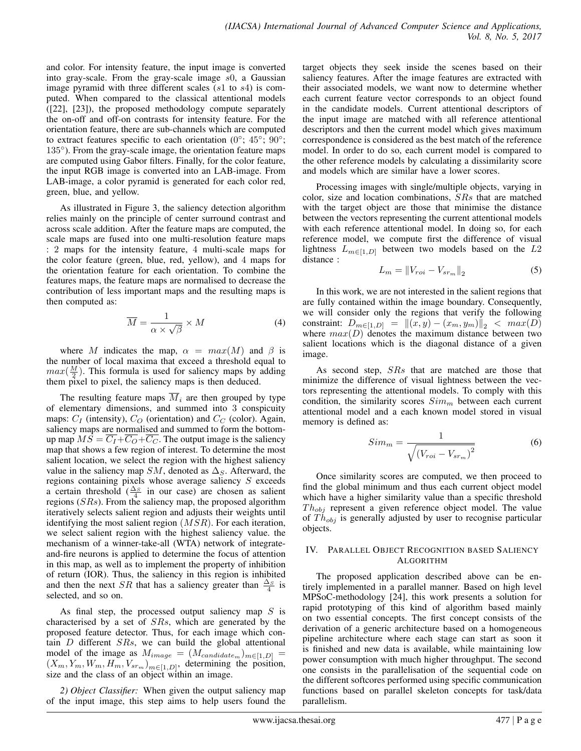and color. For intensity feature, the input image is converted into gray-scale. From the gray-scale image  $s0$ , a Gaussian image pyramid with three different scales (s1 to s4) is computed. When compared to the classical attentional models ([22], [23]), the proposed methodology compute separately the on-off and off-on contrasts for intensity feature. For the orientation feature, there are sub-channels which are computed to extract features specific to each orientation ( $0^\circ$ ;  $45^\circ$ ;  $90^\circ$ ; 135°). From the gray-scale image, the orientation feature maps are computed using Gabor filters. Finally, for the color feature, the input RGB image is converted into an LAB-image. From LAB-image, a color pyramid is generated for each color red, green, blue, and yellow.

As illustrated in Figure 3, the saliency detection algorithm relies mainly on the principle of center surround contrast and across scale addition. After the feature maps are computed, the scale maps are fused into one multi-resolution feature maps : 2 maps for the intensity feature, 4 multi-scale maps for the color feature (green, blue, red, yellow), and 4 maps for the orientation feature for each orientation. To combine the features maps, the feature maps are normalised to decrease the contribution of less important maps and the resulting maps is then computed as:

$$
\overline{M} = \frac{1}{\alpha \times \sqrt{\beta}} \times M \tag{4}
$$

where M indicates the map,  $\alpha = max(M)$  and  $\beta$  is the number of local maxima that exceed a threshold equal to  $max(\frac{M}{2})$ . This formula is used for saliency maps by adding them pixel to pixel, the saliency maps is then deduced.

The resulting feature maps  $\overline{M}_i$  are then grouped by type of elementary dimensions, and summed into 3 conspicuity maps:  $C_I$  (intensity),  $C_O$  (orientation) and  $C_C$  (color). Again, saliency maps are normalised and summed to form the bottomup map  $\overline{MS} = \overline{C_I} + \overline{C_O} + \overline{C_C}$ . The output image is the saliency map that shows a few region of interest. To determine the most salient location, we select the region with the highest saliency value in the saliency map  $SM$ , denoted as  $\Delta_S$ . Afterward, the regions containing pixels whose average saliency  $S$  exceeds a certain threshold  $(\frac{\Delta_S}{4}$  in our case) are chosen as salient regions  $(SRs)$ . From the saliency map, the proposed algorithm iteratively selects salient region and adjusts their weights until identifying the most salient region  $(MSR)$ . For each iteration, we select salient region with the highest saliency value. the mechanism of a winner-take-all (WTA) network of integrateand-fire neurons is applied to determine the focus of attention in this map, as well as to implement the property of inhibition of return (IOR). Thus, the saliency in this region is inhibited and then the next *SR* that has a saliency greater than  $\frac{\Delta_S}{4}$  is selected, and so on.

As final step, the processed output saliency map  $S$  is characterised by a set of SRs, which are generated by the proposed feature detector. Thus, for each image which contain  $D$  different  $SRs$ , we can build the global attentional model of the image as  $M_{image} = (M_{candidate_m})_{m \in [1,D]}$  $(X_m, Y_m, W_m, H_m, V_{srm})_{m \in [1, D]},$  determining the position, size and the class of an object within an image.

*2) Object Classifier:* When given the output saliency map of the input image, this step aims to help users found the target objects they seek inside the scenes based on their saliency features. After the image features are extracted with their associated models, we want now to determine whether each current feature vector corresponds to an object found in the candidate models. Current attentional descriptors of the input image are matched with all reference attentional descriptors and then the current model which gives maximum correspondence is considered as the best match of the reference model. In order to do so, each current model is compared to the other reference models by calculating a dissimilarity score and models which are similar have a lower scores.

Processing images with single/multiple objects, varying in color, size and location combinations, SRs that are matched with the target object are those that minimise the distance between the vectors representing the current attentional models with each reference attentional model. In doing so, for each reference model, we compute first the difference of visual lightness  $L_{m \in [1, D]}$  between two models based on the L2 distance :

$$
L_m = \|V_{roi} - V_{sr_m}\|_2 \tag{5}
$$

In this work, we are not interested in the salient regions that are fully contained within the image boundary. Consequently, we will consider only the regions that verify the following constraint:  $D_{m \in [1, D]} = ||(x, y) - (x_m, y_m)||_2 < max(D)$ where  $max(D)$  denotes the maximum distance between two salient locations which is the diagonal distance of a given image.

As second step, SRs that are matched are those that minimize the difference of visual lightness between the vectors representing the attentional models. To comply with this condition, the similarity scores  $Sim_m$  between each current attentional model and a each known model stored in visual memory is defined as:

$$
Sim_m = \frac{1}{\sqrt{\left(V_{roi} - V_{sr_m}\right)^2}}\tag{6}
$$

Once similarity scores are computed, we then proceed to find the global minimum and thus each current object model which have a higher similarity value than a specific threshold  $Th_{obj}$  represent a given reference object model. The value of  $Th_{obj}$  is generally adjusted by user to recognise particular objects.

#### IV. PARALLEL OBJECT RECOGNITION BASED SALIENCY ALGORITHM

The proposed application described above can be entirely implemented in a parallel manner. Based on high level MPSoC-methodology [24], this work presents a solution for rapid prototyping of this kind of algorithm based mainly on two essential concepts. The first concept consists of the derivation of a generic architecture based on a homogeneous pipeline architecture where each stage can start as soon it is finished and new data is available, while maintaining low power consumption with much higher throughput. The second one consists in the parallelisation of the sequential code on the different softcores performed using specific communication functions based on parallel skeleton concepts for task/data parallelism.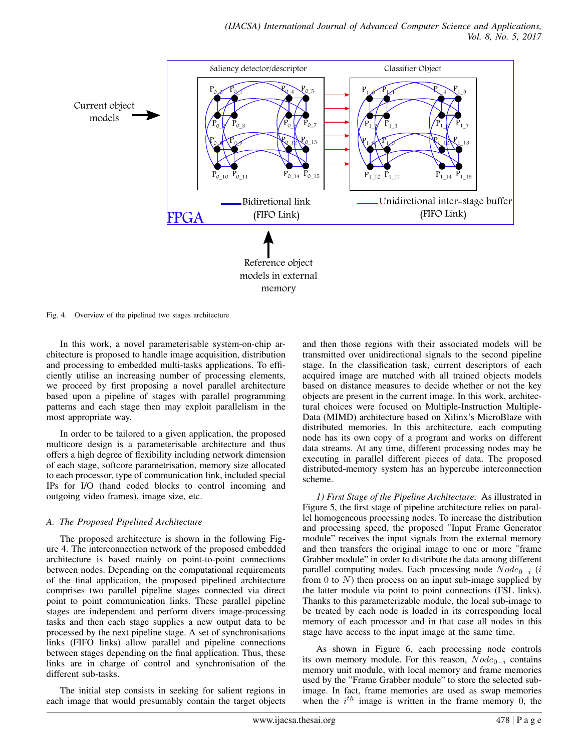

Fig. 4. Overview of the pipelined two stages architecture

In this work, a novel parameterisable system-on-chip architecture is proposed to handle image acquisition, distribution and processing to embedded multi-tasks applications. To efficiently utilise an increasing number of processing elements, we proceed by first proposing a novel parallel architecture based upon a pipeline of stages with parallel programming patterns and each stage then may exploit parallelism in the most appropriate way.

In order to be tailored to a given application, the proposed multicore design is a parameterisable architecture and thus offers a high degree of flexibility including network dimension of each stage, softcore parametrisation, memory size allocated to each processor, type of communication link, included special IPs for I/O (hand coded blocks to control incoming and outgoing video frames), image size, etc.

# *A. The Proposed Pipelined Architecture*

The proposed architecture is shown in the following Figure 4. The interconnection network of the proposed embedded architecture is based mainly on point-to-point connections between nodes. Depending on the computational requirements of the final application, the proposed pipelined architecture comprises two parallel pipeline stages connected via direct point to point communication links. These parallel pipeline stages are independent and perform divers image-processing tasks and then each stage supplies a new output data to be processed by the next pipeline stage. A set of synchronisations links (FIFO links) allow parallel and pipeline connections between stages depending on the final application. Thus, these links are in charge of control and synchronisation of the different sub-tasks.

The initial step consists in seeking for salient regions in each image that would presumably contain the target objects

and then those regions with their associated models will be transmitted over unidirectional signals to the second pipeline stage. In the classification task, current descriptors of each acquired image are matched with all trained objects models based on distance measures to decide whether or not the key objects are present in the current image. In this work, architectural choices were focused on Multiple-Instruction Multiple-Data (MIMD) architecture based on Xilinx's MicroBlaze with distributed memories. In this architecture, each computing node has its own copy of a program and works on different data streams. At any time, different processing nodes may be executing in parallel different pieces of data. The proposed distributed-memory system has an hypercube interconnection scheme.

*1) First Stage of the Pipeline Architecture:* As illustrated in Figure 5, the first stage of pipeline architecture relies on parallel homogeneous processing nodes. To increase the distribution and processing speed, the proposed "Input Frame Generator module" receives the input signals from the external memory and then transfers the original image to one or more "frame Grabber module" in order to distribute the data among different parallel computing nodes. Each processing node  $Node_{0-i}$  (i from 0 to  $N$ ) then process on an input sub-image supplied by the latter module via point to point connections (FSL links). Thanks to this parameterizable module, the local sub-image to be treated by each node is loaded in its corresponding local memory of each processor and in that case all nodes in this stage have access to the input image at the same time.

As shown in Figure 6, each processing node controls its own memory module. For this reason,  $Node_{0-i}$  contains memory unit module, with local memory and frame memories used by the "Frame Grabber module" to store the selected subimage. In fact, frame memories are used as swap memories when the  $i^{th}$  image is written in the frame memory 0, the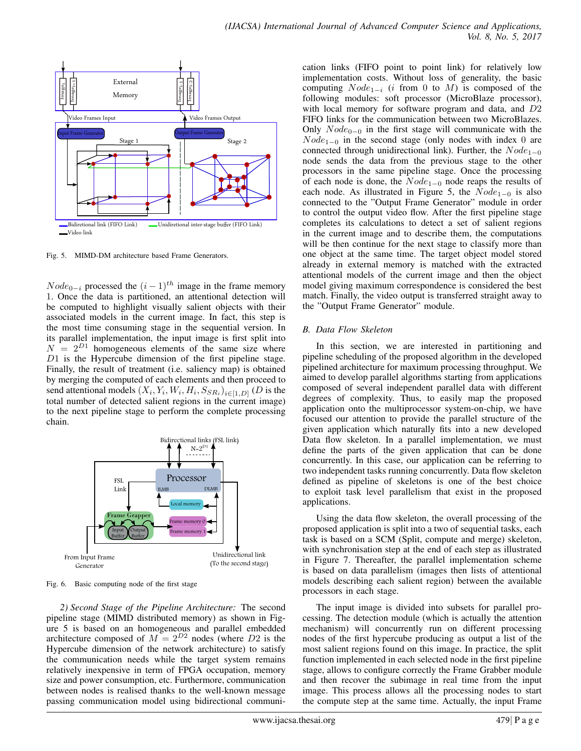

Fig. 5. MIMD-DM architecture based Frame Generators.

 $Node_{0-i}$  processed the  $(i-1)<sup>th</sup>$  image in the frame memory 1. Once the data is partitioned, an attentional detection will be computed to highlight visually salient objects with their associated models in the current image. In fact, this step is the most time consuming stage in the sequential version. In its parallel implementation, the input image is first split into  $N = 2^{D1}$  homogeneous elements of the same size where D1 is the Hypercube dimension of the first pipeline stage. Finally, the result of treatment (i.e. saliency map) is obtained by merging the computed of each elements and then proceed to send attentional models  $(X_i, Y_i, W_i, H_i, S_{SR_i})_{i \in [1, D]}$  (D is the total number of detected salient regions in the current image) to the next pipeline stage to perform the complete processing chain.



Fig. 6. Basic computing node of the first stage

*2) Second Stage of the Pipeline Architecture:* The second pipeline stage (MIMD distributed memory) as shown in Figure 5 is based on an homogeneous and parallel embedded architecture composed of  $M = 2^{D2}$  nodes (where D2 is the Hypercube dimension of the network architecture) to satisfy the communication needs while the target system remains relatively inexpensive in term of FPGA occupation, memory size and power consumption, etc. Furthermore, communication between nodes is realised thanks to the well-known message passing communication model using bidirectional communication links (FIFO point to point link) for relatively low implementation costs. Without loss of generality, the basic computing  $Node_{1-i}$  (*i* from 0 to M) is composed of the following modules: soft processor (MicroBlaze processor), with local memory for software program and data, and D2 FIFO links for the communication between two MicroBlazes. Only  $Node_{0-0}$  in the first stage will communicate with the  $Node_{1-0}$  in the second stage (only nodes with index 0 are connected through unidirectional link). Further, the  $Node_{1-0}$ node sends the data from the previous stage to the other processors in the same pipeline stage. Once the processing of each node is done, the  $Node_{1-0}$  node reaps the results of each node. As illustrated in Figure 5, the  $Node_{1-0}$  is also connected to the "Output Frame Generator" module in order to control the output video flow. After the first pipeline stage completes its calculations to detect a set of salient regions in the current image and to describe them, the computations will be then continue for the next stage to classify more than one object at the same time. The target object model stored already in external memory is matched with the extracted attentional models of the current image and then the object model giving maximum correspondence is considered the best match. Finally, the video output is transferred straight away to the "Output Frame Generator" module.

### *B. Data Flow Skeleton*

In this section, we are interested in partitioning and pipeline scheduling of the proposed algorithm in the developed pipelined architecture for maximum processing throughput. We aimed to develop parallel algorithms starting from applications composed of several independent parallel data with different degrees of complexity. Thus, to easily map the proposed application onto the multiprocessor system-on-chip, we have focused our attention to provide the parallel structure of the given application which naturally fits into a new developed Data flow skeleton. In a parallel implementation, we must define the parts of the given application that can be done concurrently. In this case, our application can be referring to two independent tasks running concurrently. Data flow skeleton defined as pipeline of skeletons is one of the best choice to exploit task level parallelism that exist in the proposed applications.

Using the data flow skeleton, the overall processing of the proposed application is split into a two of sequential tasks, each task is based on a SCM (Split, compute and merge) skeleton, with synchronisation step at the end of each step as illustrated in Figure 7. Thereafter, the parallel implementation scheme is based on data parallelism (images then lists of attentional models describing each salient region) between the available processors in each stage.

The input image is divided into subsets for parallel processing. The detection module (which is actually the attention mechanism) will concurrently run on different processing nodes of the first hypercube producing as output a list of the most salient regions found on this image. In practice, the split function implemented in each selected node in the first pipeline stage, allows to configure correctly the Frame Grabber module and then recover the subimage in real time from the input image. This process allows all the processing nodes to start the compute step at the same time. Actually, the input Frame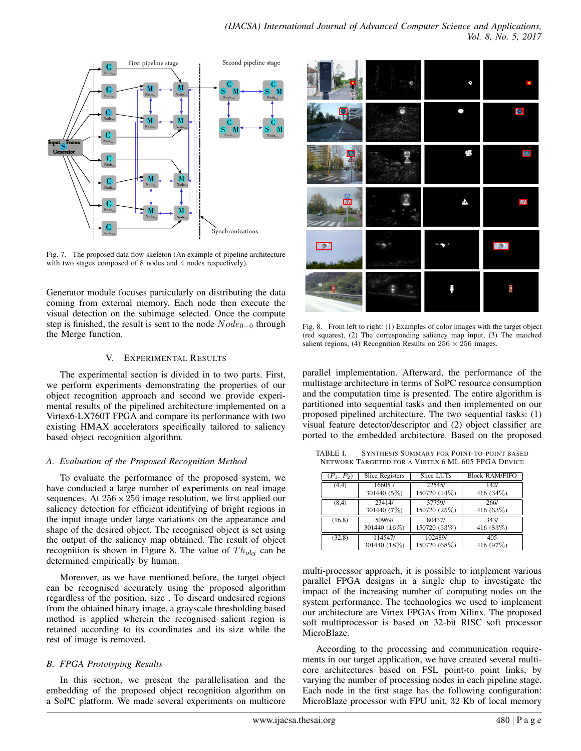

Fig. 7. The proposed data flow skeleton (An example of pipeline architecture with two stages composed of 8 nodes and 4 nodes respectively).

Generator module focuses particularly on distributing the data coming from external memory. Each node then execute the visual detection on the subimage selected. Once the compute step is finished, the result is sent to the node  $Node_{0-0}$  through the Merge function.

## V. EXPERIMENTAL RESULTS

The experimental section is divided in to two parts. First, we perform experiments demonstrating the properties of our object recognition approach and second we provide experimental results of the pipelined architecture implemented on a Virtex6-LX760T FPGA and compare its performance with two existing HMAX accelerators specifically tailored to saliency based object recognition algorithm.

# *A. Evaluation of the Proposed Recognition Method*

To evaluate the performance of the proposed system, we have conducted a large number of experiments on real image sequences. At  $256 \times 256$  image resolution, we first applied our saliency detection for efficient identifying of bright regions in the input image under large variations on the appearance and shape of the desired object. The recognised object is set using the output of the saliency map obtained. The result of object recognition is shown in Figure 8. The value of  $Th_{obj}$  can be determined empirically by human.

Moreover, as we have mentioned before, the target object can be recognised accurately using the proposed algorithm regardless of the position, size . To discard undesired regions from the obtained binary image, a grayscale thresholding based method is applied wherein the recognised salient region is retained according to its coordinates and its size while the rest of image is removed.

# *B. FPGA Prototyping Results*

In this section, we present the parallelisation and the embedding of the proposed object recognition algorithm on a SoPC platform. We made several experiments on multicore

|                                 | ٥  | $\blacksquare$                  |
|---------------------------------|----|---------------------------------|
| 65                              | ۰, | S                               |
|                                 | Ą  | $\Delta$                        |
|                                 |    |                                 |
| $\frac{\mathbb{A}}{\mathbb{A}}$ | ٨  | $\boldsymbol{\mathbb{\Lambda}}$ |
| $\rightarrow$                   |    | P                               |

Fig. 8. From left to right: (1) Examples of color images with the target object (red squares), (2) The corresponding saliency map input, (3) The matched salient regions, (4) Recognition Results on  $256 \times 256$  images.

parallel implementation. Afterward, the performance of the multistage architecture in terms of SoPC resource consumption and the computation time is presented. The entire algorithm is partitioned into sequential tasks and then implemented on our proposed pipelined architecture. The two sequential tasks: (1) visual feature detector/descriptor and (2) object classifier are ported to the embedded architecture. Based on the proposed

TABLE I. SYNTHESIS SUMMARY FOR POINT-TO-POINT BASED NETWORK TARGETED FOR A VIRTEX 6 ML 605 FPGA DEVICE

| $(P_1, P_2)$ | Slice Registers | Slice LUTs   | <b>Block RAM/FIFO</b> |
|--------------|-----------------|--------------|-----------------------|
| (4,4)        | 16605/          | 22545/       | 142/                  |
|              | 301440 (5%)     | 150720 (14%) | 416 (34%)             |
| (8,4)        | 23414/          | 37759/       | 266/                  |
|              | 301440 (7%)     | 150720 (25%) | 416 (63%)             |
| (16, 8)      | 50969/          | 80437/       | 343/                  |
|              | 301440 (16%)    | 150720 (53%) | 416 (83%)             |
| (32,8)       | 114547/         | 102489/      | 405                   |
|              | 301440 (18%)    | 150720 (68%) | 416 (97%)             |

multi-processor approach, it is possible to implement various parallel FPGA designs in a single chip to investigate the impact of the increasing number of computing nodes on the system performance. The technologies we used to implement our architecture are Virtex FPGAs from Xilinx. The proposed soft multiprocessor is based on 32-bit RISC soft processor MicroBlaze.

According to the processing and communication requirements in our target application, we have created several multicore architectures based on FSL point-to point links, by varying the number of processing nodes in each pipeline stage. Each node in the first stage has the following configuration: MicroBlaze processor with FPU unit, 32 Kb of local memory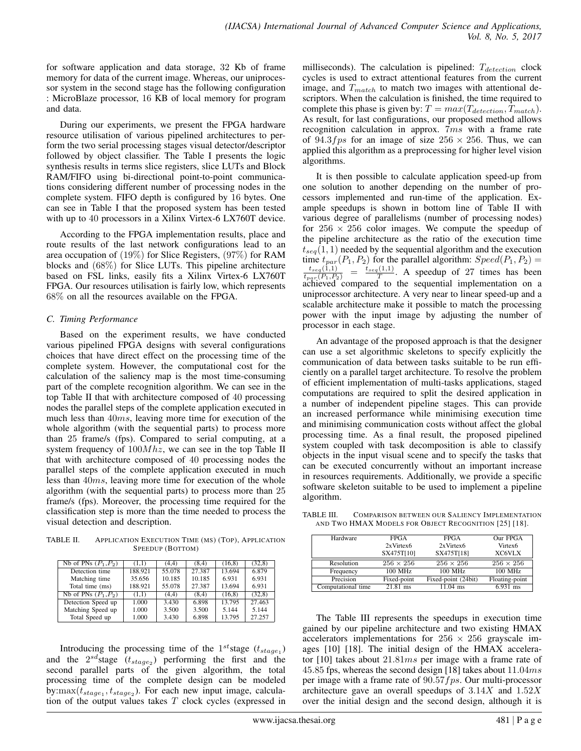for software application and data storage, 32 Kb of frame memory for data of the current image. Whereas, our uniprocessor system in the second stage has the following configuration : MicroBlaze processor, 16 KB of local memory for program and data.

During our experiments, we present the FPGA hardware resource utilisation of various pipelined architectures to perform the two serial processing stages visual detector/descriptor followed by object classifier. The Table I presents the logic synthesis results in terms slice registers, slice LUTs and Block RAM/FIFO using bi-directional point-to-point communications considering different number of processing nodes in the complete system. FIFO depth is configured by 16 bytes. One can see in Table I that the proposed system has been tested with up to 40 processors in a Xilinx Virtex-6 LX760T device.

According to the FPGA implementation results, place and route results of the last network configurations lead to an area occupation of (19%) for Slice Registers, (97%) for RAM blocks and (68%) for Slice LUTs. This pipeline architecture based on FSL links, easily fits a Xilinx Virtex-6 LX760T FPGA. Our resources utilisation is fairly low, which represents 68% on all the resources available on the FPGA.

# *C. Timing Performance*

Based on the experiment results, we have conducted various pipelined FPGA designs with several configurations choices that have direct effect on the processing time of the complete system. However, the computational cost for the calculation of the saliency map is the most time-consuming part of the complete recognition algorithm. We can see in the top Table II that with architecture composed of 40 processing nodes the parallel steps of the complete application executed in much less than  $40ms$ , leaving more time for execution of the whole algorithm (with the sequential parts) to process more than 25 frame/s (fps). Compared to serial computing, at a system frequency of  $100Mhz$ , we can see in the top Table II that with architecture composed of 40 processing nodes the parallel steps of the complete application executed in much less than 40ms, leaving more time for execution of the whole algorithm (with the sequential parts) to process more than 25 frame/s (fps). Moreover, the processing time required for the classification step is more than the time needed to process the visual detection and description.

TABLE II. APPLICATION EXECUTION TIME (MS) (TOP), APPLICATION SPEEDUP (BOTTOM)

| Nb of PNs $(P_1, P_2)$ | (1.1)   | (4.4)  | (8.4)  | (16, 8) | (32,8) |
|------------------------|---------|--------|--------|---------|--------|
| Detection time         | 188.921 | 55.078 | 27.387 | 13.694  | 6.879  |
| Matching time          | 35.656  | 10.185 | 10.185 | 6.931   | 6.931  |
| Total time (ms)        | 188.921 | 55.078 | 27.387 | 13.694  | 6.931  |
| Nb of PNs $(P_1, P_2)$ | (1,1)   | (4.4)  | (8,4)  | (16, 8) | (32,8) |
| Detection Speed up     | 1.000   | 3.430  | 6.898  | 13.795  | 27.463 |
| Matching Speed up      | 1.000   | 3.500  | 3.500  | 5.144   | 5.144  |
| Total Speed up         | 1.000   | 3.430  | 6.898  | 13.795  | 27.257 |

Introducing the processing time of the  $1^{st}$ stage  $(t_{stage_1})$ and the  $2^{sd}$ stage  $(t_{stage_2})$  performing the first and the second parallel parts of the given algorithm, the total processing time of the complete design can be modeled by: $\max(t_{stage_1}, t_{stage_2})$ . For each new input image, calculation of the output values takes  $T$  clock cycles (expressed in milliseconds). The calculation is pipelined:  $T_{detection}$  clock cycles is used to extract attentional features from the current image, and  $T_{match}$  to match two images with attentional descriptors. When the calculation is finished, the time required to complete this phase is given by:  $T = max(T_{detection}, T_{match})$ . As result, for last configurations, our proposed method allows recognition calculation in approx. 7ms with a frame rate of 94.3fps for an image of size  $256 \times 256$ . Thus, we can applied this algorithm as a preprocessing for higher level vision algorithms.

It is then possible to calculate application speed-up from one solution to another depending on the number of processors implemented and run-time of the application. Example speedups is shown in bottom line of Table II with various degree of parallelisms (number of processing nodes) for  $256 \times 256$  color images. We compute the speedup of the pipeline architecture as the ratio of the execution time  $t_{seq}(1, 1)$  needed by the sequential algorithm and the execution time  $t_{par}(P_1, P_2)$  for the parallel algorithm:  $Speed(P_1, P_2) = \frac{t_{seq}(1,1)}{t_{par}(P_1, P_2)} = \frac{t_{seq}(1,1)}{T}$ . A speedup of 27 times has been achieved compared to the sequential implementation on a uniprocessor architecture. A very near to linear speed-up and a scalable architecture make it possible to match the processing power with the input image by adjusting the number of processor in each stage.

An advantage of the proposed approach is that the designer can use a set algorithmic skeletons to specify explicitly the communication of data between tasks suitable to be run efficiently on a parallel target architecture. To resolve the problem of efficient implementation of multi-tasks applications, staged computations are required to split the desired application in a number of independent pipeline stages. This can provide an increased performance while minimising execution time and minimising communication costs without affect the global processing time. As a final result, the proposed pipelined system coupled with task decomposition is able to classify objects in the input visual scene and to specify the tasks that can be executed concurrently without an important increase in resources requirements. Additionally, we provide a specific software skeleton suitable to be used to implement a pipeline algorithm.

TABLE III. COMPARISON BETWEEN OUR SALIENCY IMPLEMENTATION AND TWO HMAX MODELS FOR OBJECT RECOGNITION [25] [18].

| Hardware           | <b>FPGA</b>      | <b>FPGA</b>         | Our FPGA            |
|--------------------|------------------|---------------------|---------------------|
|                    | $2xV$ irtex $6$  | $2xV$ irtex $6$     | Virtex <sub>6</sub> |
|                    | SX475T[10]       | SX475T[18]          | <b>XC6VLX</b>       |
| Resolution         | $256 \times 256$ | $256 \times 256$    | $256 \times 256$    |
| Frequency          | 100 MHz          | 100 MHz             | 100 MHz             |
| Precision          | Fixed-point      | Fixed-point (24bit) | Floating-point      |
| Computational time | $21.81$ ms       | $11.04$ ms          | $6.931$ ms          |

The Table III represents the speedups in execution time gained by our pipeline architecture and two existing HMAX accelerators implementations for  $256 \times 256$  grayscale images [10] [18]. The initial design of the HMAX accelerator [10] takes about 21.81ms per image with a frame rate of 45.85 fps, whereas the second design [18] takes about  $11.04ms$ per image with a frame rate of  $90.57$  *f ps.* Our multi-processor architecture gave an overall speedups of  $3.14X$  and  $1.52X$ over the initial design and the second design, although it is